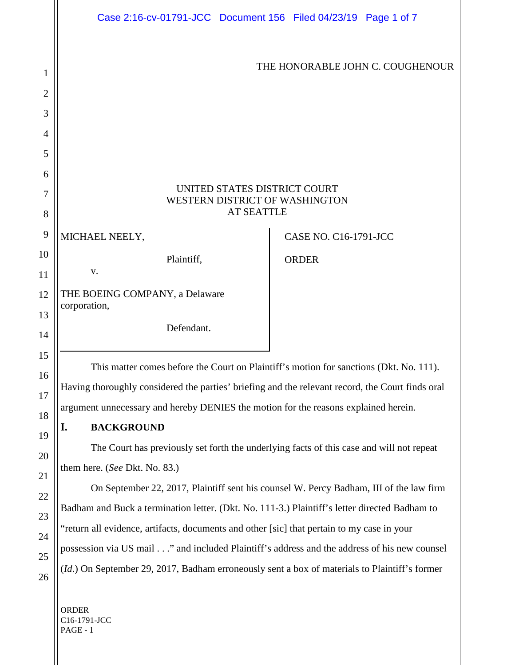|                | Case 2:16-cv-01791-JCC Document 156 Filed 04/23/19 Page 1 of 7                                   |                              |  |
|----------------|--------------------------------------------------------------------------------------------------|------------------------------|--|
| 1              | THE HONORABLE JOHN C. COUGHENOUR                                                                 |                              |  |
| $\overline{2}$ |                                                                                                  |                              |  |
| 3              |                                                                                                  |                              |  |
| $\overline{4}$ |                                                                                                  |                              |  |
| 5              |                                                                                                  |                              |  |
| 6              |                                                                                                  |                              |  |
| 7              | UNITED STATES DISTRICT COURT<br>WESTERN DISTRICT OF WASHINGTON<br><b>AT SEATTLE</b>              |                              |  |
| 8              |                                                                                                  |                              |  |
| 9              | MICHAEL NEELY,                                                                                   | <b>CASE NO. C16-1791-JCC</b> |  |
| 10<br>11       | Plaintiff,<br>V.                                                                                 | <b>ORDER</b>                 |  |
| 12             | THE BOEING COMPANY, a Delaware<br>corporation,                                                   |                              |  |
| 13<br>14       | Defendant.                                                                                       |                              |  |
| 15             | This matter comes before the Court on Plaintiff's motion for sanctions (Dkt. No. 111).           |                              |  |
| 16             | Having thoroughly considered the parties' briefing and the relevant record, the Court finds oral |                              |  |
| 17             | argument unnecessary and hereby DENIES the motion for the reasons explained herein.              |                              |  |
| 18             | <b>BACKGROUND</b><br>I.                                                                          |                              |  |
| 19             | The Court has previously set forth the underlying facts of this case and will not repeat         |                              |  |
| 20             | them here. (See Dkt. No. 83.)                                                                    |                              |  |
| 21<br>22       | On September 22, 2017, Plaintiff sent his counsel W. Percy Badham, III of the law firm           |                              |  |
| 23             | Badham and Buck a termination letter. (Dkt. No. 111-3.) Plaintiff's letter directed Badham to    |                              |  |
| 24             | "return all evidence, artifacts, documents and other [sic] that pertain to my case in your       |                              |  |
| 25             | possession via US mail" and included Plaintiff's address and the address of his new counsel      |                              |  |
| 26             | (Id.) On September 29, 2017, Badham erroneously sent a box of materials to Plaintiff's former    |                              |  |
|                | <b>ORDER</b><br>C16-1791-JCC<br>PAGE - 1                                                         |                              |  |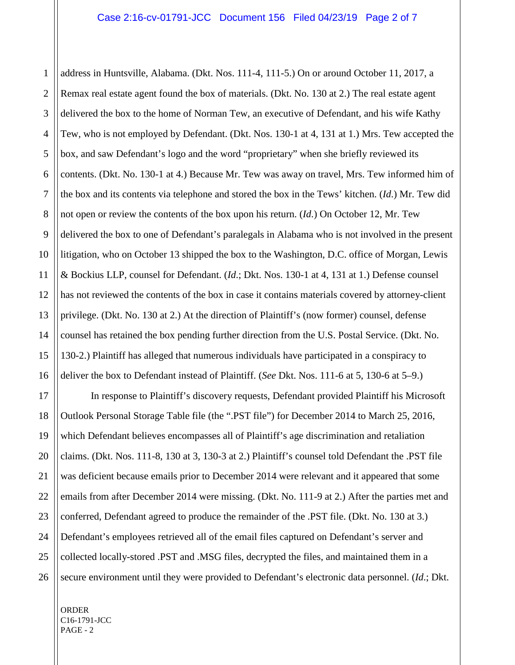1 address in Huntsville, Alabama. (Dkt. Nos. 111-4, 111-5.) On or around October 11, 2017, a Remax real estate agent found the box of materials. (Dkt. No. 130 at 2.) The real estate agent delivered the box to the home of Norman Tew, an executive of Defendant, and his wife Kathy Tew, who is not employed by Defendant. (Dkt. Nos. 130-1 at 4, 131 at 1.) Mrs. Tew accepted the box, and saw Defendant's logo and the word "proprietary" when she briefly reviewed its contents. (Dkt. No. 130-1 at 4.) Because Mr. Tew was away on travel, Mrs. Tew informed him of the box and its contents via telephone and stored the box in the Tews' kitchen. (*Id*.) Mr. Tew did not open or review the contents of the box upon his return. (*Id*.) On October 12, Mr. Tew delivered the box to one of Defendant's paralegals in Alabama who is not involved in the present litigation, who on October 13 shipped the box to the Washington, D.C. office of Morgan, Lewis & Bockius LLP, counsel for Defendant. (*Id*.; Dkt. Nos. 130-1 at 4, 131 at 1.) Defense counsel has not reviewed the contents of the box in case it contains materials covered by attorney-client privilege. (Dkt. No. 130 at 2.) At the direction of Plaintiff's (now former) counsel, defense counsel has retained the box pending further direction from the U.S. Postal Service. (Dkt. No. 130-2.) Plaintiff has alleged that numerous individuals have participated in a conspiracy to deliver the box to Defendant instead of Plaintiff. (*See* Dkt. Nos. 111-6 at 5, 130-6 at 5–9.)

In response to Plaintiff's discovery requests, Defendant provided Plaintiff his Microsoft Outlook Personal Storage Table file (the ".PST file") for December 2014 to March 25, 2016, which Defendant believes encompasses all of Plaintiff's age discrimination and retaliation claims. (Dkt. Nos. 111-8, 130 at 3, 130-3 at 2.) Plaintiff's counsel told Defendant the .PST file was deficient because emails prior to December 2014 were relevant and it appeared that some emails from after December 2014 were missing. (Dkt. No. 111-9 at 2.) After the parties met and conferred, Defendant agreed to produce the remainder of the .PST file. (Dkt. No. 130 at 3.) Defendant's employees retrieved all of the email files captured on Defendant's server and collected locally-stored .PST and .MSG files, decrypted the files, and maintained them in a secure environment until they were provided to Defendant's electronic data personnel. (*Id*.; Dkt.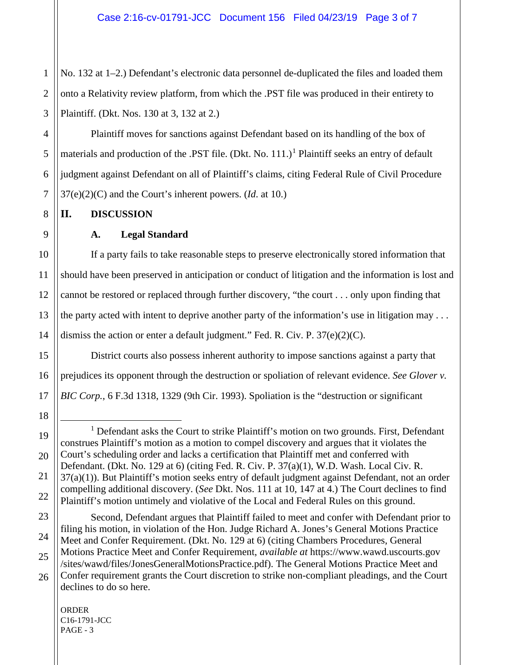1 2 3 No. 132 at 1–2.) Defendant's electronic data personnel de-duplicated the files and loaded them onto a Relativity review platform, from which the .PST file was produced in their entirety to Plaintiff. (Dkt. Nos. 130 at 3, 132 at 2.)

Plaintiff moves for sanctions against Defendant based on its handling of the box of materials and production of the .PST file. (Dkt. No.  $111.$  $111.$ )<sup>1</sup> Plaintiff seeks an entry of default judgment against Defendant on all of Plaintiff's claims, citing Federal Rule of Civil Procedure 37(e)(2)(C) and the Court's inherent powers. (*Id*. at 10.)

**II. DISCUSSION**

## **A. Legal Standard**

If a party fails to take reasonable steps to preserve electronically stored information that should have been preserved in anticipation or conduct of litigation and the information is lost and cannot be restored or replaced through further discovery, "the court . . . only upon finding that the party acted with intent to deprive another party of the information's use in litigation may . . . dismiss the action or enter a default judgment." Fed. R. Civ. P. 37(e)(2)(C).

District courts also possess inherent authority to impose sanctions against a party that prejudices its opponent through the destruction or spoliation of relevant evidence. *See Glover v. BIC Corp.*, 6 F.3d 1318, 1329 (9th Cir. 1993). Spoliation is the "destruction or significant

<span id="page-2-0"></span><sup>&</sup>lt;sup>1</sup> Defendant asks the Court to strike Plaintiff's motion on two grounds. First, Defendant construes Plaintiff's motion as a motion to compel discovery and argues that it violates the Court's scheduling order and lacks a certification that Plaintiff met and conferred with Defendant. (Dkt. No. 129 at 6) (citing Fed. R. Civ. P. 37(a)(1), W.D. Wash. Local Civ. R. 37(a)(1)). But Plaintiff's motion seeks entry of default judgment against Defendant, not an order compelling additional discovery. (*See* Dkt. Nos. 111 at 10, 147 at 4.) The Court declines to find Plaintiff's motion untimely and violative of the Local and Federal Rules on this ground.

Second, Defendant argues that Plaintiff failed to meet and confer with Defendant prior to filing his motion, in violation of the Hon. Judge Richard A. Jones's General Motions Practice Meet and Confer Requirement. (Dkt. No. 129 at 6) (citing Chambers Procedures, General Motions Practice Meet and Confer Requirement, *available at* https://www.wawd.uscourts.gov /sites/wawd/files/JonesGeneralMotionsPractice.pdf). The General Motions Practice Meet and Confer requirement grants the Court discretion to strike non-compliant pleadings, and the Court

declines to do so here.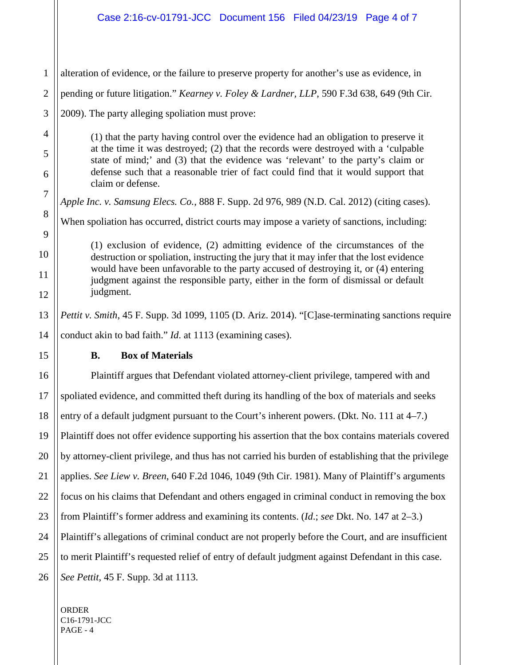## Case 2:16-cv-01791-JCC Document 156 Filed 04/23/19 Page 4 of 7

| 1              | alteration of evidence, or the failure to preserve property for another's use as evidence, in                                                                                                                                                                                                                                                                             |  |
|----------------|---------------------------------------------------------------------------------------------------------------------------------------------------------------------------------------------------------------------------------------------------------------------------------------------------------------------------------------------------------------------------|--|
| $\overline{2}$ | pending or future litigation." Kearney v. Foley & Lardner, LLP, 590 F.3d 638, 649 (9th Cir.                                                                                                                                                                                                                                                                               |  |
| 3              | 2009). The party alleging spoliation must prove:                                                                                                                                                                                                                                                                                                                          |  |
| 4              | (1) that the party having control over the evidence had an obligation to preserve it<br>at the time it was destroyed; (2) that the records were destroyed with a 'culpable<br>state of mind;' and (3) that the evidence was 'relevant' to the party's claim or<br>defense such that a reasonable trier of fact could find that it would support that<br>claim or defense. |  |
| 5              |                                                                                                                                                                                                                                                                                                                                                                           |  |
| 6              |                                                                                                                                                                                                                                                                                                                                                                           |  |
| $\overline{7}$ | Apple Inc. v. Samsung Elecs. Co., 888 F. Supp. 2d 976, 989 (N.D. Cal. 2012) (citing cases).                                                                                                                                                                                                                                                                               |  |
| 8<br>9         | When spoliation has occurred, district courts may impose a variety of sanctions, including:                                                                                                                                                                                                                                                                               |  |
| 10             | (1) exclusion of evidence, (2) admitting evidence of the circumstances of the<br>destruction or spoliation, instructing the jury that it may infer that the lost evidence<br>would have been unfavorable to the party accused of destroying it, or (4) entering<br>judgment against the responsible party, either in the form of dismissal or default<br>judgment.        |  |
| 11             |                                                                                                                                                                                                                                                                                                                                                                           |  |
| 12             |                                                                                                                                                                                                                                                                                                                                                                           |  |
| 13             | Pettit v. Smith, 45 F. Supp. 3d 1099, 1105 (D. Ariz. 2014). "[C]ase-terminating sanctions require                                                                                                                                                                                                                                                                         |  |
| 14             | conduct akin to bad faith." <i>Id.</i> at 1113 (examining cases).                                                                                                                                                                                                                                                                                                         |  |
| 15             | <b>Box of Materials</b><br><b>B.</b>                                                                                                                                                                                                                                                                                                                                      |  |
| 16             | Plaintiff argues that Defendant violated attorney-client privilege, tampered with and                                                                                                                                                                                                                                                                                     |  |
| 17             | spoliated evidence, and committed theft during its handling of the box of materials and seeks                                                                                                                                                                                                                                                                             |  |
| 18             | entry of a default judgment pursuant to the Court's inherent powers. (Dkt. No. 111 at 4–7.)                                                                                                                                                                                                                                                                               |  |
| 19             | Plaintiff does not offer evidence supporting his assertion that the box contains materials covered                                                                                                                                                                                                                                                                        |  |
| 20             | by attorney-client privilege, and thus has not carried his burden of establishing that the privilege                                                                                                                                                                                                                                                                      |  |
| 21             | applies. See Liew v. Breen, 640 F.2d 1046, 1049 (9th Cir. 1981). Many of Plaintiff's arguments                                                                                                                                                                                                                                                                            |  |
| 22             | focus on his claims that Defendant and others engaged in criminal conduct in removing the box                                                                                                                                                                                                                                                                             |  |
| 23             | from Plaintiff's former address and examining its contents. ( <i>Id.</i> ; see Dkt. No. 147 at $2-3$ .)                                                                                                                                                                                                                                                                   |  |
| 24             | Plaintiff's allegations of criminal conduct are not properly before the Court, and are insufficient                                                                                                                                                                                                                                                                       |  |
| 25             | to merit Plaintiff's requested relief of entry of default judgment against Defendant in this case.                                                                                                                                                                                                                                                                        |  |
| 26             | See Pettit, 45 F. Supp. 3d at 1113.                                                                                                                                                                                                                                                                                                                                       |  |
|                |                                                                                                                                                                                                                                                                                                                                                                           |  |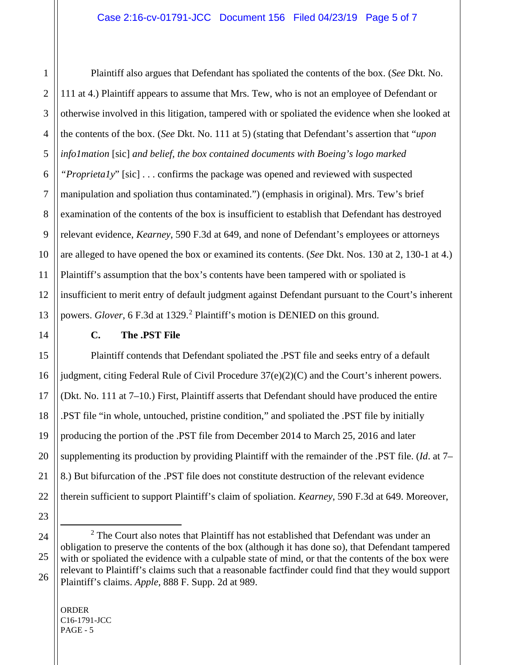Plaintiff also argues that Defendant has spoliated the contents of the box. (*See* Dkt. No. 111 at 4.) Plaintiff appears to assume that Mrs. Tew, who is not an employee of Defendant or otherwise involved in this litigation, tampered with or spoliated the evidence when she looked at the contents of the box. (*See* Dkt. No. 111 at 5) (stating that Defendant's assertion that "*upon info1mation* [sic] *and belief, the box contained documents with Boeing's logo marked "Proprieta1y*" [sic] . . . confirms the package was opened and reviewed with suspected manipulation and spoliation thus contaminated.") (emphasis in original). Mrs. Tew's brief examination of the contents of the box is insufficient to establish that Defendant has destroyed relevant evidence, *Kearney*, 590 F.3d at 649, and none of Defendant's employees or attorneys are alleged to have opened the box or examined its contents. (*See* Dkt. Nos. 130 at 2, 130-1 at 4.) Plaintiff's assumption that the box's contents have been tampered with or spoliated is insufficient to merit entry of default judgment against Defendant pursuant to the Court's inherent powers. *Glover*, 6 F.3d at 13[2](#page-4-0)9.<sup>2</sup> Plaintiff's motion is DENIED on this ground.

## **C. The .PST File**

Plaintiff contends that Defendant spoliated the .PST file and seeks entry of a default judgment, citing Federal Rule of Civil Procedure 37(e)(2)(C) and the Court's inherent powers. (Dkt. No. 111 at 7–10.) First, Plaintiff asserts that Defendant should have produced the entire .PST file "in whole, untouched, pristine condition," and spoliated the .PST file by initially producing the portion of the .PST file from December 2014 to March 25, 2016 and later supplementing its production by providing Plaintiff with the remainder of the .PST file. (*Id*. at 7– 8.) But bifurcation of the .PST file does not constitute destruction of the relevant evidence therein sufficient to support Plaintiff's claim of spoliation. *Kearney*, 590 F.3d at 649. Moreover,

<span id="page-4-0"></span> $2$  The Court also notes that Plaintiff has not established that Defendant was under an obligation to preserve the contents of the box (although it has done so), that Defendant tampered with or spoliated the evidence with a culpable state of mind, or that the contents of the box were relevant to Plaintiff's claims such that a reasonable factfinder could find that they would support Plaintiff's claims. *Apple*, 888 F. Supp. 2d at 989.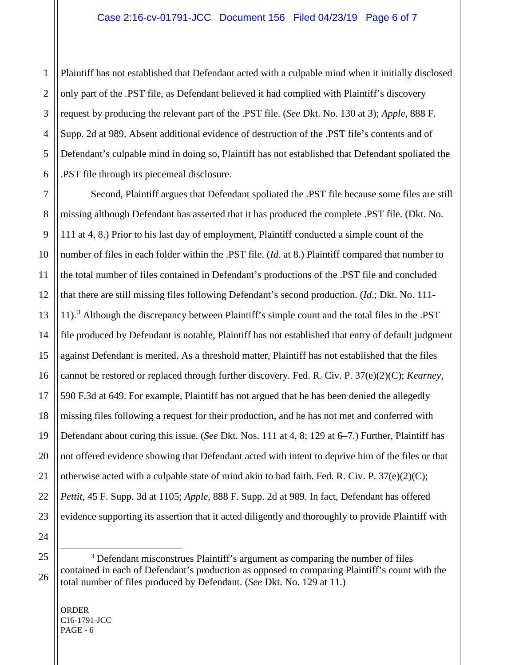Plaintiff has not established that Defendant acted with a culpable mind when it initially disclosed only part of the .PST file, as Defendant believed it had complied with Plaintiff's discovery request by producing the relevant part of the .PST file. (*See* Dkt. No. 130 at 3); *Apple*, 888 F. Supp. 2d at 989. Absent additional evidence of destruction of the .PST file's contents and of Defendant's culpable mind in doing so, Plaintiff has not established that Defendant spoliated the .PST file through its piecemeal disclosure.

Second, Plaintiff argues that Defendant spoliated the .PST file because some files are still missing although Defendant has asserted that it has produced the complete .PST file. (Dkt. No. 111 at 4, 8.) Prior to his last day of employment, Plaintiff conducted a simple count of the number of files in each folder within the .PST file. (*Id*. at 8.) Plaintiff compared that number to the total number of files contained in Defendant's productions of the .PST file and concluded that there are still missing files following Defendant's second production. (*Id*.; Dkt. No. 111- 11).[3](#page-5-0) Although the discrepancy between Plaintiff's simple count and the total files in the .PST file produced by Defendant is notable, Plaintiff has not established that entry of default judgment against Defendant is merited. As a threshold matter, Plaintiff has not established that the files cannot be restored or replaced through further discovery. Fed. R. Civ. P. 37(e)(2)(C); *Kearney*, 590 F.3d at 649. For example, Plaintiff has not argued that he has been denied the allegedly missing files following a request for their production, and he has not met and conferred with Defendant about curing this issue. (*See* Dkt. Nos. 111 at 4, 8; 129 at 6–7.) Further, Plaintiff has not offered evidence showing that Defendant acted with intent to deprive him of the files or that otherwise acted with a culpable state of mind akin to bad faith. Fed. R. Civ. P.  $37(e)(2)(C)$ ; *Pettit*, 45 F. Supp. 3d at 1105; *Apple*, 888 F. Supp. 2d at 989. In fact, Defendant has offered evidence supporting its assertion that it acted diligently and thoroughly to provide Plaintiff with

- 24
- <span id="page-5-0"></span>

<sup>&</sup>lt;sup>3</sup> Defendant misconstrues Plaintiff's argument as comparing the number of files contained in each of Defendant's production as opposed to comparing Plaintiff's count with the total number of files produced by Defendant. (*See* Dkt. No. 129 at 11.)